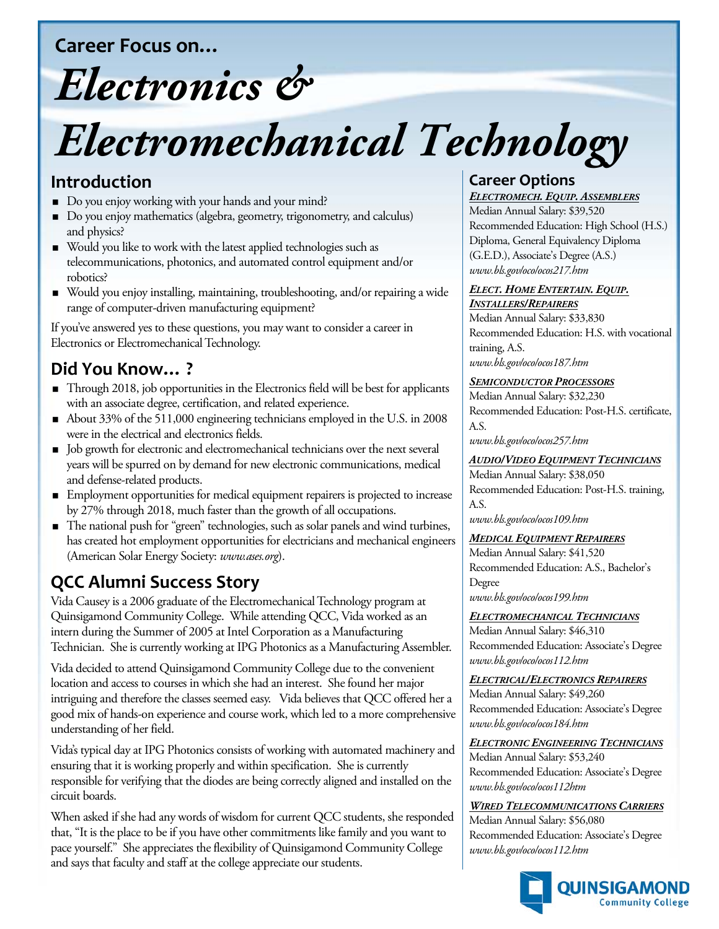**Career Focus on…**

## *Electronics &*

# *Electromechanical Technology*

#### **Introduction**

- Do you enjoy working with your hands and your mind?
- Do you enjoy mathematics (algebra, geometry, trigonometry, and calculus) and physics?
- Would you like to work with the latest applied technologies such as telecommunications, photonics, and automated control equipment and/or robotics?
- Would you enjoy installing, maintaining, troubleshooting, and/or repairing a wide range of computer-driven manufacturing equipment?

If you've answered yes to these questions, you may want to consider a career in Electronics or Electromechanical Technology.

## **Did You Know… ?**

- Through 2018, job opportunities in the Electronics field will be best for applicants with an associate degree, certification, and related experience.
- About 33% of the 511,000 engineering technicians employed in the U.S. in 2008 were in the electrical and electronics fields.
- $\blacksquare$  Job growth for electronic and electromechanical technicians over the next several years will be spurred on by demand for new electronic communications, medical and defense-related products.
- Employment opportunities for medical equipment repairers is projected to increase by 27% through 2018, much faster than the growth of all occupations.
- The national push for "green" technologies, such as solar panels and wind turbines, has created hot employment opportunities for electricians and mechanical engineers (American Solar Energy Society: *www.ases.org*).

## **QCC Alumni Success Story**

Vida Causey is a 2006 graduate of the Electromechanical Technology program at Quinsigamond Community College. While attending QCC, Vida worked as an intern during the Summer of 2005 at Intel Corporation as a Manufacturing Technician. She is currently working at IPG Photonics as a Manufacturing Assembler.

Vida decided to attend Quinsigamond Community College due to the convenient location and access to courses in which she had an interest. She found her major intriguing and therefore the classes seemed easy. Vida believes that QCC offered her a good mix of hands-on experience and course work, which led to a more comprehensive understanding of her field.

Vida's typical day at IPG Photonics consists of working with automated machinery and ensuring that it is working properly and within specification. She is currently responsible for verifying that the diodes are being correctly aligned and installed on the circuit boards.

When asked if she had any words of wisdom for current QCC students, she responded that, "It is the place to be if you have other commitments like family and you want to pace yourself." She appreciates the flexibility of Quinsigamond Community College and says that faculty and staff at the college appreciate our students.

#### **Career Options**

Median Annual Salary: \$39,520 *ELECTROMECH. EQUIP. ASSEMBLERS* Recommended Education: High School (H.S.) Diploma, General Equivalency Diploma (G.E.D.), Associate's Degree (A.S.) *www.bls.gov/oco/ocos217.htm*

#### *ELECT. HOME ENTERTAIN. EQUIP. INSTALLERS/REPAIRERS*

Median Annual Salary: \$33,830 Recommended Education: H.S. with vocational training, A.S. *www.bls.gov/oco/ocos187.htm*

#### *SEMICONDUCTOR PROCESSORS*

Median Annual Salary: \$32,230 Recommended Education: Post-H.S. certificate, A.S.

*www.bls.gov/oco/ocos257.htm*

#### *AUDIO/VIDEO EQUIPMENT TECHNICIANS*

Median Annual Salary: \$38,050 Recommended Education: Post-H.S. training, A.S.

*www.bls.gov/oco/ocos109.htm*

#### *MEDICAL EQUIPMENT REPAIRERS*

Median Annual Salary: \$41,520 Recommended Education: A.S., Bachelor's Degree *www.bls.gov/oco/ocos199.htm*

Median Annual Salary: \$46,310 *ELECTROMECHANICAL TECHNICIANS* Recommended Education: Associate's Degree *www.bls.gov/oco/ocos112.htm*

Median Annual Salary: \$49,260 *ELECTRICAL/ELECTRONICS REPAIRERS* Recommended Education: Associate's Degree *www.bls.gov/oco/ocos184.htm*

Median Annual Salary: \$53,240 *ELECTRONIC ENGINEERING TECHNICIANS* Recommended Education: Associate's Degree *www.bls.gov/oco/ocos112htm*

Median Annual Salary: \$56,080 *WIRED TELECOMMUNICATIONS CARRIERS* Recommended Education: Associate's Degree

*www.bls.gov/oco/ocos112.htm*